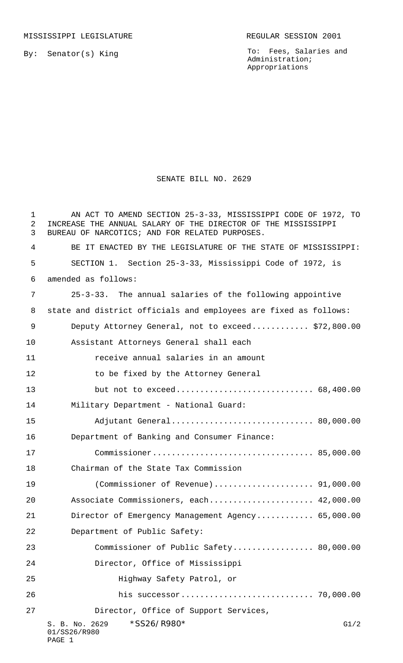MISSISSIPPI LEGISLATURE REGULAR SESSION 2001

By: Senator(s) King

To: Fees, Salaries and Administration; Appropriations

## SENATE BILL NO. 2629

| $\mathbf 1$<br>2<br>3 | AN ACT TO AMEND SECTION 25-3-33, MISSISSIPPI CODE OF 1972, TO<br>INCREASE THE ANNUAL SALARY OF THE DIRECTOR OF THE MISSISSIPPI<br>BUREAU OF NARCOTICS; AND FOR RELATED PURPOSES. |
|-----------------------|----------------------------------------------------------------------------------------------------------------------------------------------------------------------------------|
| 4                     | BE IT ENACTED BY THE LEGISLATURE OF THE STATE OF MISSISSIPPI:                                                                                                                    |
| 5                     | SECTION 1. Section 25-3-33, Mississippi Code of 1972, is                                                                                                                         |
| 6                     | amended as follows:                                                                                                                                                              |
| 7                     | 25-3-33. The annual salaries of the following appointive                                                                                                                         |
| 8                     | state and district officials and employees are fixed as follows:                                                                                                                 |
| 9                     | Deputy Attorney General, not to exceed \$72,800.00                                                                                                                               |
| 10                    | Assistant Attorneys General shall each                                                                                                                                           |
| 11                    | receive annual salaries in an amount                                                                                                                                             |
| 12                    | to be fixed by the Attorney General                                                                                                                                              |
| 13                    | but not to exceed 68,400.00                                                                                                                                                      |
| 14                    | Military Department - National Guard:                                                                                                                                            |
| 15                    | Adjutant General 80,000.00                                                                                                                                                       |
| 16                    | Department of Banking and Consumer Finance:                                                                                                                                      |
| 17                    |                                                                                                                                                                                  |
| 18                    | Chairman of the State Tax Commission                                                                                                                                             |
| 19                    |                                                                                                                                                                                  |
| 20                    | Associate Commissioners, each 42,000.00                                                                                                                                          |
| 21                    | Director of Emergency Management Agency 65,000.00                                                                                                                                |
| 22                    | Department of Public Safety:                                                                                                                                                     |
| 23                    | Commissioner of Public Safety 80,000.00                                                                                                                                          |
| 24                    | Director, Office of Mississippi                                                                                                                                                  |
| 25                    | Highway Safety Patrol, or                                                                                                                                                        |
| 26                    |                                                                                                                                                                                  |
| 27                    | Director, Office of Support Services,                                                                                                                                            |
|                       | *SS26/R980*<br>S. B. No. 2629<br>G1/2<br>01/SS26/R980<br>PAGE 1                                                                                                                  |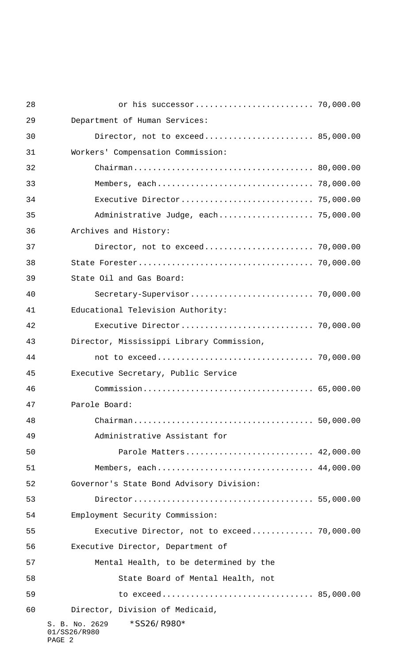| 28 |                                                         |  |
|----|---------------------------------------------------------|--|
| 29 | Department of Human Services:                           |  |
| 30 | Director, not to exceed 85,000.00                       |  |
| 31 | Workers' Compensation Commission:                       |  |
| 32 |                                                         |  |
| 33 |                                                         |  |
| 34 |                                                         |  |
| 35 | Administrative Judge, each 75,000.00                    |  |
| 36 | Archives and History:                                   |  |
| 37 |                                                         |  |
| 38 |                                                         |  |
| 39 | State Oil and Gas Board:                                |  |
| 40 |                                                         |  |
| 41 | Educational Television Authority:                       |  |
| 42 |                                                         |  |
| 43 | Director, Mississippi Library Commission,               |  |
| 44 |                                                         |  |
| 45 | Executive Secretary, Public Service                     |  |
| 46 |                                                         |  |
| 47 | Parole Board:                                           |  |
| 48 |                                                         |  |
| 49 | Administrative Assistant for                            |  |
| 50 | Parole Matters 42,000.00                                |  |
| 51 | Members, each 44,000.00                                 |  |
| 52 | Governor's State Bond Advisory Division:                |  |
| 53 |                                                         |  |
| 54 | Employment Security Commission:                         |  |
| 55 | Executive Director, not to exceed 70,000.00             |  |
| 56 | Executive Director, Department of                       |  |
| 57 | Mental Health, to be determined by the                  |  |
| 58 | State Board of Mental Health, not                       |  |
| 59 | to exceed 85,000.00                                     |  |
| 60 | Director, Division of Medicaid,                         |  |
|    | *SS26/R980*<br>S. B. No. 2629<br>01/SS26/R980<br>PAGE 2 |  |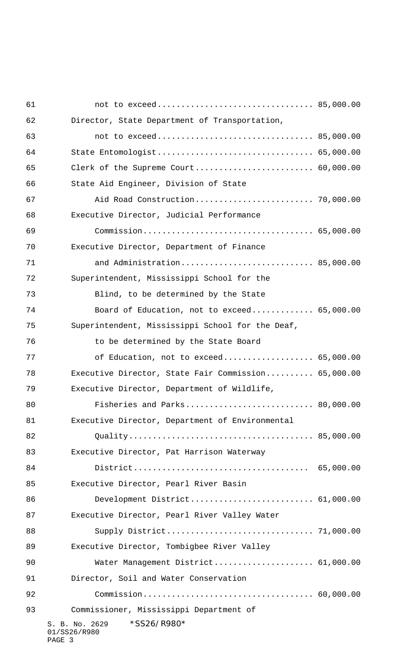| 61 |                                                         |  |
|----|---------------------------------------------------------|--|
| 62 | Director, State Department of Transportation,           |  |
| 63 |                                                         |  |
| 64 | State Entomologist 65,000.00                            |  |
| 65 | Clerk of the Supreme Court 60,000.00                    |  |
| 66 | State Aid Engineer, Division of State                   |  |
| 67 | Aid Road Construction 70,000.00                         |  |
| 68 | Executive Director, Judicial Performance                |  |
| 69 |                                                         |  |
| 70 | Executive Director, Department of Finance               |  |
| 71 | and Administration 85,000.00                            |  |
| 72 | Superintendent, Mississippi School for the              |  |
| 73 | Blind, to be determined by the State                    |  |
| 74 | Board of Education, not to exceed 65,000.00             |  |
| 75 | Superintendent, Mississippi School for the Deaf,        |  |
| 76 | to be determined by the State Board                     |  |
| 77 | of Education, not to exceed 65,000.00                   |  |
| 78 | Executive Director, State Fair Commission 65,000.00     |  |
| 79 | Executive Director, Department of Wildlife,             |  |
| 80 | Fisheries and Parks 80,000.00                           |  |
| 81 | Executive Director, Department of Environmental         |  |
| 82 |                                                         |  |
| 83 | Executive Director, Pat Harrison Waterway               |  |
| 84 |                                                         |  |
| 85 | Executive Director, Pearl River Basin                   |  |
| 86 | Development District 61,000.00                          |  |
| 87 | Executive Director, Pearl River Valley Water            |  |
| 88 |                                                         |  |
| 89 | Executive Director, Tombigbee River Valley              |  |
| 90 | Water Management District 61,000.00                     |  |
| 91 | Director, Soil and Water Conservation                   |  |
| 92 |                                                         |  |
| 93 | Commissioner, Mississippi Department of                 |  |
|    | *SS26/R980*<br>S. B. No. 2629<br>01/SS26/R980<br>PAGE 3 |  |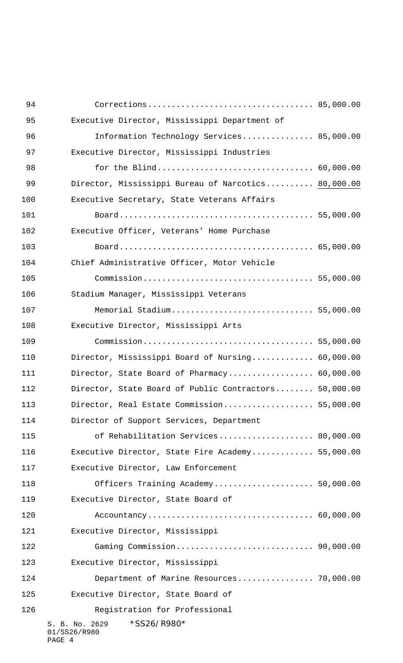| 94  |                                                         |  |
|-----|---------------------------------------------------------|--|
| 95  | Executive Director, Mississippi Department of           |  |
| 96  | Information Technology Services 85,000.00               |  |
| 97  | Executive Director, Mississippi Industries              |  |
| 98  |                                                         |  |
| 99  | Director, Mississippi Bureau of Narcotics 80,000.00     |  |
| 100 | Executive Secretary, State Veterans Affairs             |  |
| 101 |                                                         |  |
| 102 | Executive Officer, Veterans' Home Purchase              |  |
| 103 |                                                         |  |
| 104 | Chief Administrative Officer, Motor Vehicle             |  |
| 105 |                                                         |  |
| 106 | Stadium Manager, Mississippi Veterans                   |  |
| 107 | Memorial Stadium 55,000.00                              |  |
| 108 | Executive Director, Mississippi Arts                    |  |
| 109 |                                                         |  |
| 110 | Director, Mississippi Board of Nursing 60,000.00        |  |
| 111 | Director, State Board of Pharmacy 60,000.00             |  |
| 112 | Director, State Board of Public Contractors 50,000.00   |  |
| 113 | Director, Real Estate Commission 55,000.00              |  |
| 114 | Director of Support Services, Department                |  |
| 115 | of Rehabilitation Services 80,000.00                    |  |
| 116 | Executive Director, State Fire Academy 55,000.00        |  |
| 117 | Executive Director, Law Enforcement                     |  |
| 118 | Officers Training Academy 50,000.00                     |  |
| 119 | Executive Director, State Board of                      |  |
| 120 |                                                         |  |
| 121 | Executive Director, Mississippi                         |  |
| 122 |                                                         |  |
| 123 | Executive Director, Mississippi                         |  |
| 124 | Department of Marine Resources 70,000.00                |  |
| 125 | Executive Director, State Board of                      |  |
| 126 | Registration for Professional                           |  |
|     | *SS26/R980*<br>S. B. No. 2629<br>01/SS26/R980<br>PAGE 4 |  |